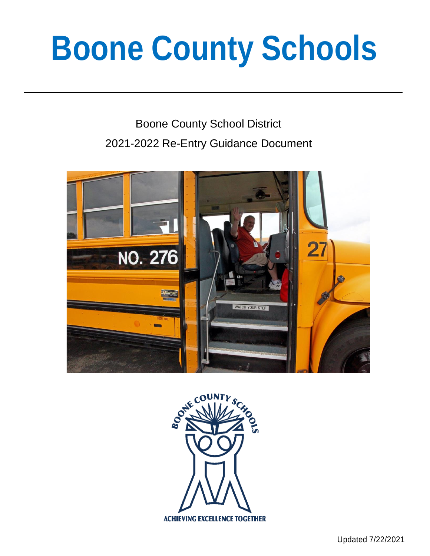# **Boone County Schools**

# Boone County School District 2021-2022 Re-Entry Guidance Document



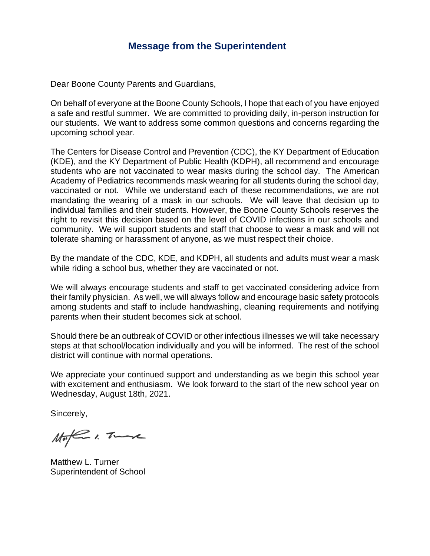#### **Message from the Superintendent**

Dear Boone County Parents and Guardians,

On behalf of everyone at the Boone County Schools, I hope that each of you have enjoyed a safe and restful summer. We are committed to providing daily, in-person instruction for our students. We want to address some common questions and concerns regarding the upcoming school year.

The Centers for Disease Control and Prevention (CDC), the KY Department of Education (KDE), and the KY Department of Public Health (KDPH), all recommend and encourage students who are not vaccinated to wear masks during the school day. The American Academy of Pediatrics recommends mask wearing for all students during the school day, vaccinated or not. While we understand each of these recommendations, we are not mandating the wearing of a mask in our schools. We will leave that decision up to individual families and their students. However, the Boone County Schools reserves the right to revisit this decision based on the level of COVID infections in our schools and community. We will support students and staff that choose to wear a mask and will not tolerate shaming or harassment of anyone, as we must respect their choice.

By the mandate of the CDC, KDE, and KDPH, all students and adults must wear a mask while riding a school bus, whether they are vaccinated or not.

We will always encourage students and staff to get vaccinated considering advice from their family physician. As well, we will always follow and encourage basic safety protocols among students and staff to include handwashing, cleaning requirements and notifying parents when their student becomes sick at school.

Should there be an outbreak of COVID or other infectious illnesses we will take necessary steps at that school/location individually and you will be informed. The rest of the school district will continue with normal operations.

We appreciate your continued support and understanding as we begin this school year with excitement and enthusiasm. We look forward to the start of the new school year on Wednesday, August 18th, 2021.

Sincerely,

Moffin 1. Tunk

Matthew L. Turner Superintendent of School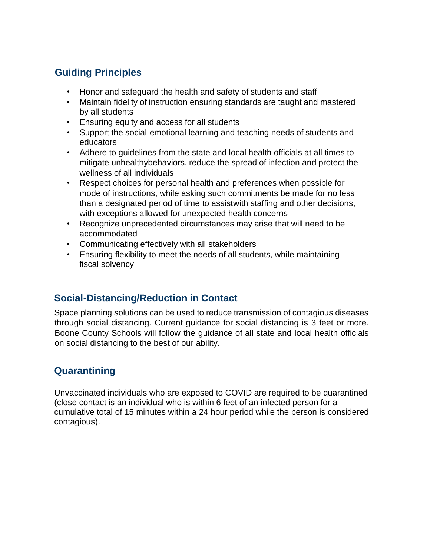## **Guiding Principles**

- Honor and safeguard the health and safety of students and staff
- Maintain fidelity of instruction ensuring standards are taught and mastered by all students
- Ensuring equity and access for all students
- Support the social-emotional learning and teaching needs of students and educators
- Adhere to guidelines from the state and local health officials at all times to mitigate unhealthybehaviors, reduce the spread of infection and protect the wellness of all individuals
- Respect choices for personal health and preferences when possible for mode of instructions, while asking such commitments be made for no less than a designated period of time to assistwith staffing and other decisions, with exceptions allowed for unexpected health concerns
- Recognize unprecedented circumstances may arise that will need to be accommodated
- Communicating effectively with all stakeholders
- Ensuring flexibility to meet the needs of all students, while maintaining fiscal solvency

#### **Social-Distancing/Reduction in Contact**

Space planning solutions can be used to reduce transmission of contagious diseases through social distancing. Current guidance for social distancing is 3 feet or more. Boone County Schools will follow the guidance of all state and local health officials on social distancing to the best of our ability.

#### **Quarantining**

Unvaccinated individuals who are exposed to COVID are required to be quarantined (close contact is an individual who is within 6 feet of an infected person for a cumulative total of 15 minutes within a 24 hour period while the person is considered contagious).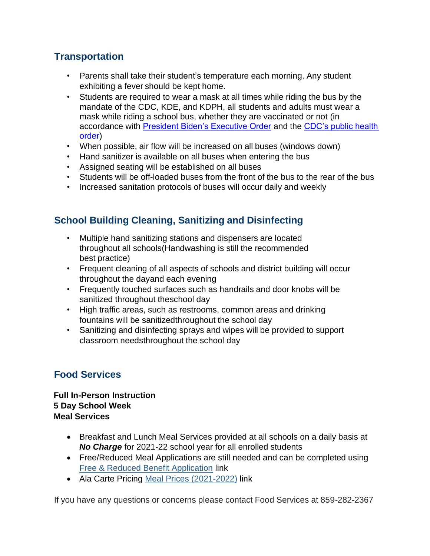### **Transportation**

- Parents shall take their student's temperature each morning. Any student exhibiting a fever should be kept home.
- Students are required to wear a mask at all times while riding the bus by the mandate of the CDC, KDE, and KDPH, all students and adults must wear a mask while riding a school bus, whether they are vaccinated or not (in accordance with [President Biden's Executive Order](https://www.whitehouse.gov/briefing-room/presidential-actions/2021/01/21/executive-order-promoting-covid-19-safety-in-domestic-and-international-travel/) and the CDC's public health [order\)](https://www.cdc.gov/quarantine/pdf/Mask-Order-CDC_GMTF_01-29-21-p.pdf)
- When possible, air flow will be increased on all buses (windows down)
- Hand sanitizer is available on all buses when entering the bus
- Assigned seating will be established on all buses
- Students will be off-loaded buses from the front of the bus to the rear of the bus
- Increased sanitation protocols of buses will occur daily and weekly

### **School Building Cleaning, Sanitizing and Disinfecting**

- Multiple hand sanitizing stations and dispensers are located throughout all schools(Handwashing is still the recommended best practice)
- Frequent cleaning of all aspects of schools and district building will occur throughout the dayand each evening
- Frequently touched surfaces such as handrails and door knobs will be sanitized throughout theschool day
- High traffic areas, such as restrooms, common areas and drinking fountains will be sanitizedthroughout the school day
- Sanitizing and disinfecting sprays and wipes will be provided to support classroom needsthroughout the school day

#### **Food Services**

**Full In-Person Instruction 5 Day School Week Meal Services** 

- Breakfast and Lunch Meal Services provided at all schools on a daily basis at *No Charge* for 2021-22 school year for all enrolled students
- Free/Reduced Meal Applications are still needed and can be completed using [Free & Reduced Benefit Application](https://www.myschoolapps.com/) link
- Ala Carte Pricing [Meal Prices \(2021-2022\)](https://www.boone.kyschools.us/docs/district/2021-2022%20cafeteria%20prices%20and%20snack%20list%5b4%5d.jpg?id=594380) link

If you have any questions or concerns please contact Food Services at 859-282-2367